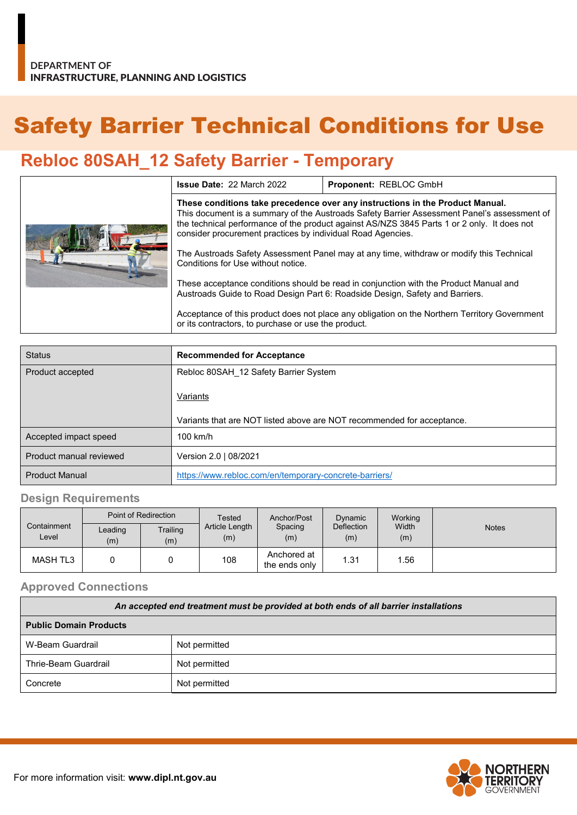# Safety Barrier Technical Conditions for Use

## **Rebloc 80SAH\_12 Safety Barrier - Temporary**

|  | <b>Issue Date: 22 March 2022</b>                                                                                                                                                                                                                                                                                                           | Proponent: REBLOC GmbH |  |  |
|--|--------------------------------------------------------------------------------------------------------------------------------------------------------------------------------------------------------------------------------------------------------------------------------------------------------------------------------------------|------------------------|--|--|
|  | These conditions take precedence over any instructions in the Product Manual.<br>This document is a summary of the Austroads Safety Barrier Assessment Panel's assessment of<br>the technical performance of the product against AS/NZS 3845 Parts 1 or 2 only. It does not<br>consider procurement practices by individual Road Agencies. |                        |  |  |
|  | The Austroads Safety Assessment Panel may at any time, withdraw or modify this Technical<br>Conditions for Use without notice.                                                                                                                                                                                                             |                        |  |  |
|  | These acceptance conditions should be read in conjunction with the Product Manual and<br>Austroads Guide to Road Design Part 6: Roadside Design, Safety and Barriers.                                                                                                                                                                      |                        |  |  |
|  | Acceptance of this product does not place any obligation on the Northern Territory Government<br>or its contractors, to purchase or use the product.                                                                                                                                                                                       |                        |  |  |

| <b>Status</b>           | <b>Recommended for Acceptance</b>                                      |
|-------------------------|------------------------------------------------------------------------|
| Product accepted        | Rebloc 80SAH 12 Safety Barrier System                                  |
|                         | Variants                                                               |
|                         | Variants that are NOT listed above are NOT recommended for acceptance. |
| Accepted impact speed   | $100$ km/h                                                             |
| Product manual reviewed | Version 2.0   08/2021                                                  |
| <b>Product Manual</b>   | https://www.rebloc.com/en/temporary-concrete-barriers/                 |

#### **Design Requirements**

|                      |                | Point of Redirection |                       | Anchor/Post                  | Dynamic                  | Working      |              |
|----------------------|----------------|----------------------|-----------------------|------------------------------|--------------------------|--------------|--------------|
| Containment<br>Level | Leading<br>(m) | Trailing<br>(m)      | Article Length<br>(m) | Spacing<br>(m)               | <b>Deflection</b><br>(m) | Width<br>(m) | <b>Notes</b> |
| <b>MASH TL3</b>      |                |                      | 108                   | Anchored at<br>the ends only | 1.31                     | 1.56         |              |

#### **Approved Connections**

| An accepted end treatment must be provided at both ends of all barrier installations |               |  |  |
|--------------------------------------------------------------------------------------|---------------|--|--|
| <b>Public Domain Products</b>                                                        |               |  |  |
| W-Beam Guardrail                                                                     | Not permitted |  |  |
| Thrie-Beam Guardrail                                                                 | Not permitted |  |  |
| Concrete                                                                             | Not permitted |  |  |